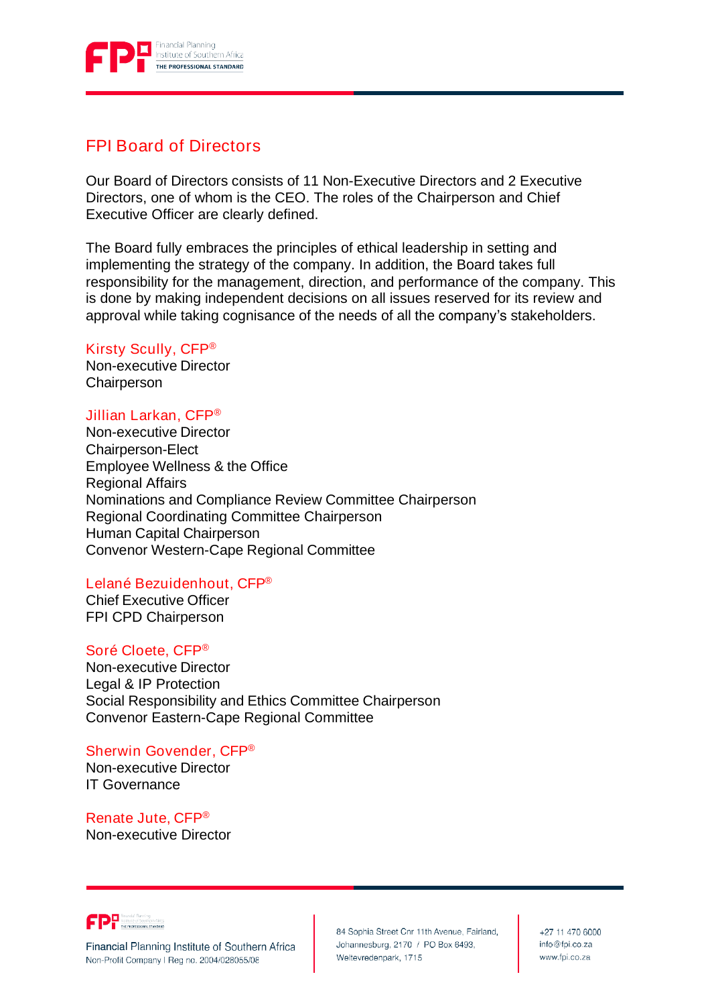

# FPI Board of Directors

Our Board of Directors consists of 11 Non-Executive Directors and 2 Executive Directors, one of whom is the CEO. The roles of the Chairperson and Chief Executive Officer are clearly defined.

The Board fully embraces the principles of ethical leadership in setting and implementing the strategy of the company. In addition, the Board takes full responsibility for the management, direction, and performance of the company. This is done by making independent decisions on all issues reserved for its review and approval while taking cognisance of the needs of all the company's stakeholders.

### Kirsty Scully, CFP®

Non-executive Director **Chairperson** 

### Jillian Larkan, CFP®

Non-executive Director Chairperson-Elect Employee Wellness & the Office Regional Affairs Nominations and Compliance Review Committee Chairperson Regional Coordinating Committee Chairperson Human Capital Chairperson Convenor Western-Cape Regional Committee

### Lelané Bezuidenhout, CFP®

Chief Executive Officer FPI CPD Chairperson

#### Soré Cloete, CFP®

Non-executive Director Legal & IP Protection Social Responsibility and Ethics Committee Chairperson Convenor Eastern-Cape Regional Committee

## Sherwin Govender, CFP®

Non-executive Director IT Governance

Renate Jute, CFP® Non-executive Director



Financial Planning Institute of Southern Africa Non-Profit Company I Reg no. 2004/028055/08

84 Sophia Street Cnr 11th Avenue, Fairland, Johannesburg, 2170 / PO Box 6493, Weltevredenpark, 1715

+27 11 470 6000 info@fpi.co.za www.fpi.co.za